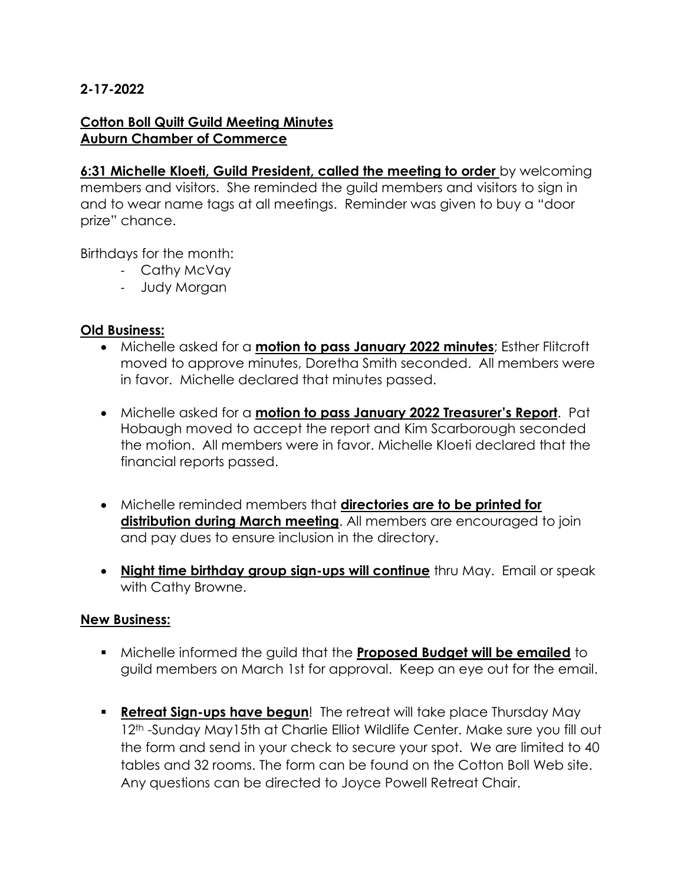### **2-17-2022**

#### **Cotton Boll Quilt Guild Meeting Minutes Auburn Chamber of Commerce**

**6:31 Michelle Kloeti, Guild President, called the meeting to order** by welcoming members and visitors. She reminded the guild members and visitors to sign in and to wear name tags at all meetings. Reminder was given to buy a "door prize" chance.

Birthdays for the month:

- Cathy McVay
- Judy Morgan

### **Old Business:**

- Michelle asked for a **motion to pass January 2022 minutes**; Esther Flitcroft moved to approve minutes, Doretha Smith seconded. All members were in favor. Michelle declared that minutes passed.
- Michelle asked for a **motion to pass January 2022 Treasurer's Report**. Pat Hobaugh moved to accept the report and Kim Scarborough seconded the motion. All members were in favor. Michelle Kloeti declared that the financial reports passed.
- Michelle reminded members that **directories are to be printed for distribution during March meeting**. All members are encouraged to join and pay dues to ensure inclusion in the directory.
- **Night time birthday group sign-ups will continue** thru May. Email or speak with Cathy Browne.

### **New Business:**

- Michelle informed the guild that the **Proposed Budget will be emailed** to guild members on March 1st for approval. Keep an eye out for the email.
- **Retreat Sign-ups have begun!** The retreat will take place Thursday May 12<sup>th</sup> -Sunday May15th at Charlie Elliot Wildlife Center. Make sure you fill out the form and send in your check to secure your spot. We are limited to 40 tables and 32 rooms. The form can be found on the Cotton Boll Web site. Any questions can be directed to Joyce Powell Retreat Chair.